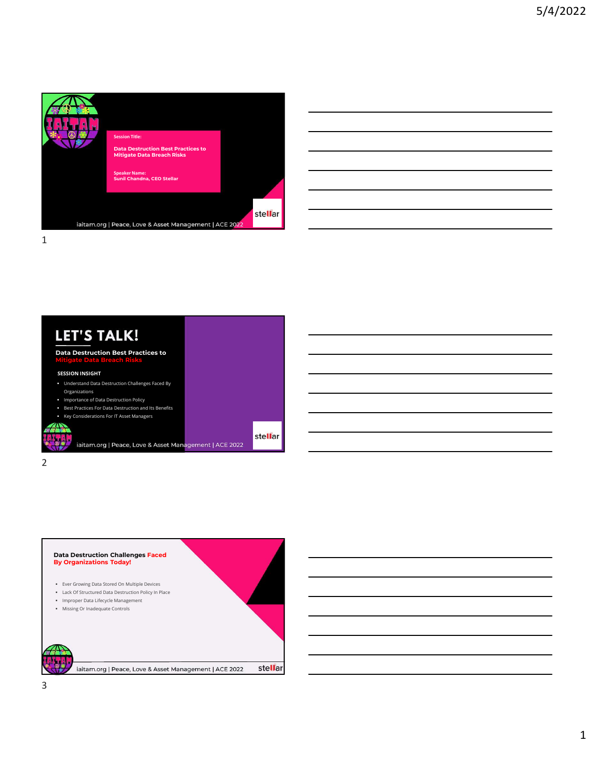

|  | <u> 1989 - Jan Samuel Barbara, margaret a shekara ta 1989 - Anna a shekara ta 1989 - Anna a tsarar 1980 - Anna a</u>  |  |
|--|-----------------------------------------------------------------------------------------------------------------------|--|
|  |                                                                                                                       |  |
|  | <u> 1989 - Jan Samuel Barbara, martin da shekara ta 1989 - An tsara tsara tsara tsara tsara tsara tsara tsara tsa</u> |  |
|  | <u> 1989 - Johann Stoff, amerikansk politiker (d. 1989)</u>                                                           |  |
|  | <u> 1989 - Andrea Andrew Maria (h. 1989).</u>                                                                         |  |



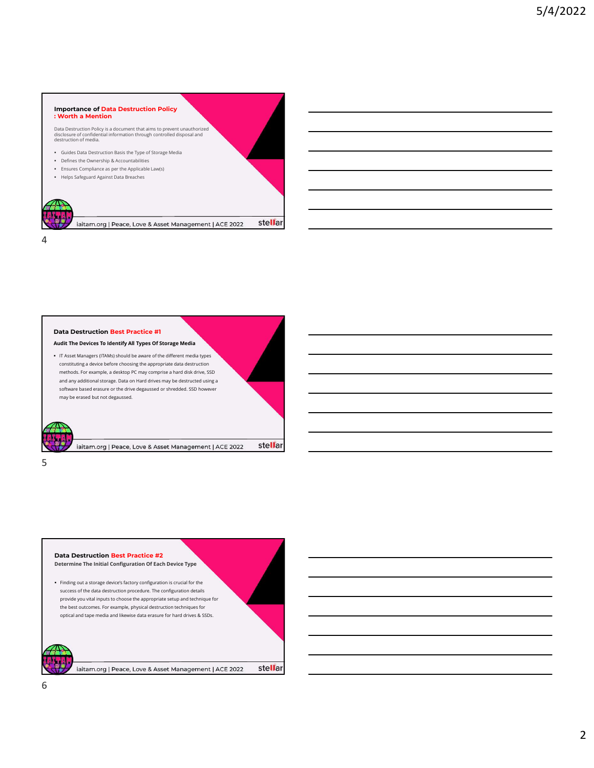#### Importance of Data Destruction Policy : Worth a Mention

Data Destruction Policy is a document that aims to prevent unauthorized<br>disclosure of confidential information through controlled disposal and destruction of media.<br>destruction of media.

Guides Data Destruction Basis the Type of Storage Media

4

stellar

- Defines the Ownership & Accountabilities
- Ensures Compliance as per the Applicable Law(s) Helps Safeguard Against Data Breaches
- 

may be erased but not degaussed.

 $5<sub>5</sub>$ 



Data Destruction Best Practice #1 Audit The Devices To Identify All Types Of Storage Media IT Asset Managers (ITAMs) should be aware of the different media types constituting a device before choosing the appropriate data destruction methods. For example, a desktop PC may comprise a hard disk drive, SSD and any additional storage. Data on Hard drives may be destructed using a software based erasure or the drive degaussed or shredded. SSD however

stellar iaitam.org | Peace, Love & Asset Management | ACE 2022

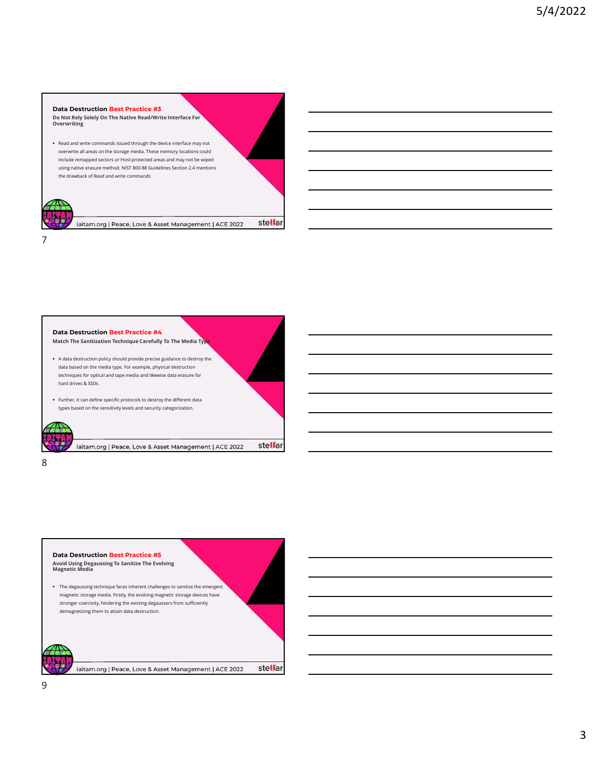## Data Destruction Best Practice #3

Do Not Rely Solely On The Native Read/Write Interface For Overwriting

 Read and write commands issued through the device interface may not overwrite all areas on the storage media. These memory locations could include remapped sectors or Host protected areas and may not be wiped **using native Commands issued through the device interface for examples the commands issued through the device interface may not experience and write commands issued through the device interface may not be viped<br>pusing ant** 



7



stellar iaitam.org | Peace, Love & Asset Management | ACE 2022

8 and 2010 and 2010 and 2010 and 2010 and 2010 and 2010 and 2010 and 2010 and 2010 and 2010 and 2010 and 2010

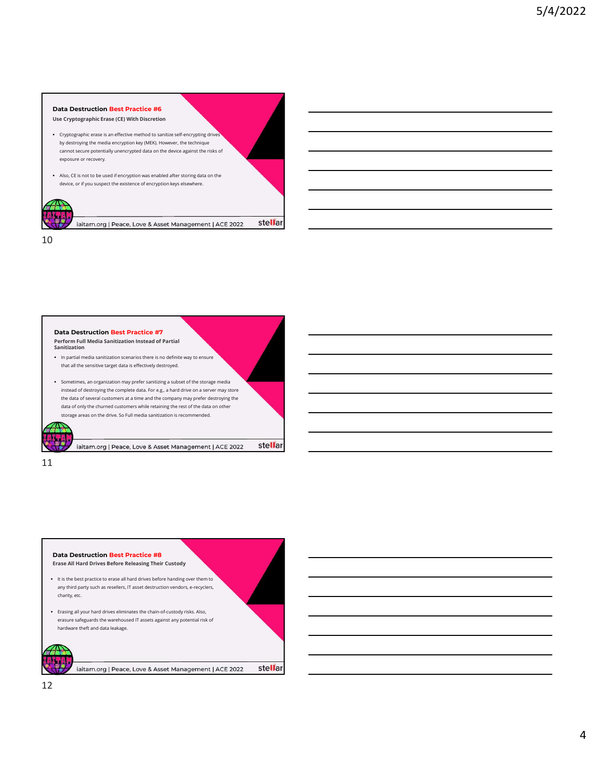## Data Destruction Best Practice #6

Use Cryptographic Erase (CE) With Discretion

- Cryptographic erase is an effective method to sanitize self-encrypting drives by destroying the media encryption key (MEK). However, the technique cannot secure potentially unencrypted data on the device against the risks of exposure or recovery.
- Also, CE is not to be used if encryption was enabled after storing data on the device, or if you suspect the existence of encryption keys elsewhere.



stellar iaitam.org | Peace, Love & Asset Management | ACE 2022

10



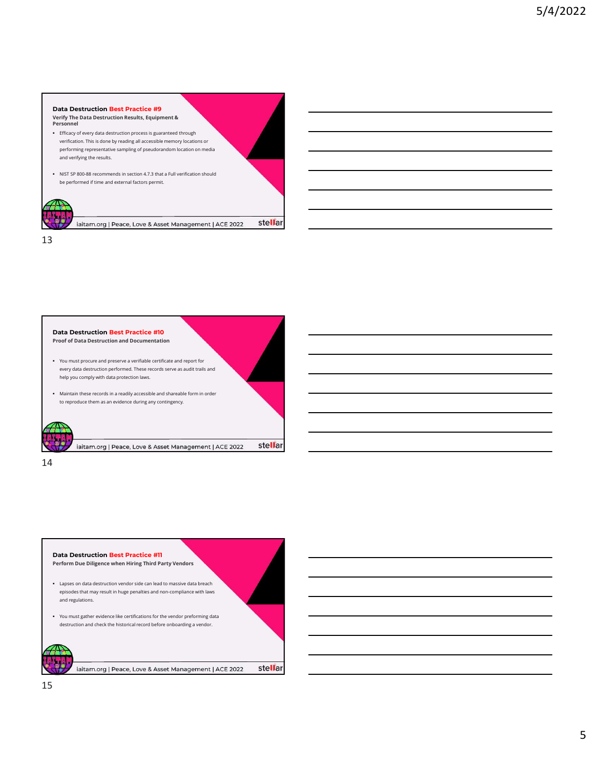# Verify The Data Destruction Results, Equipment & Personnel Data Destruction Best Practice #9

- Efficacy of every data destruction process is guaranteed through verification. This is done by reading all accessible memory locations or performing representative sampling of pseudorandom location on media and verifying the results.
- NIST SP 800-88 recommends in section 4.7.3 that a Full verification should be performed if time and external factors permit.



stellar iaitam.org | Peace, Love & Asset Management | ACE 2022

13



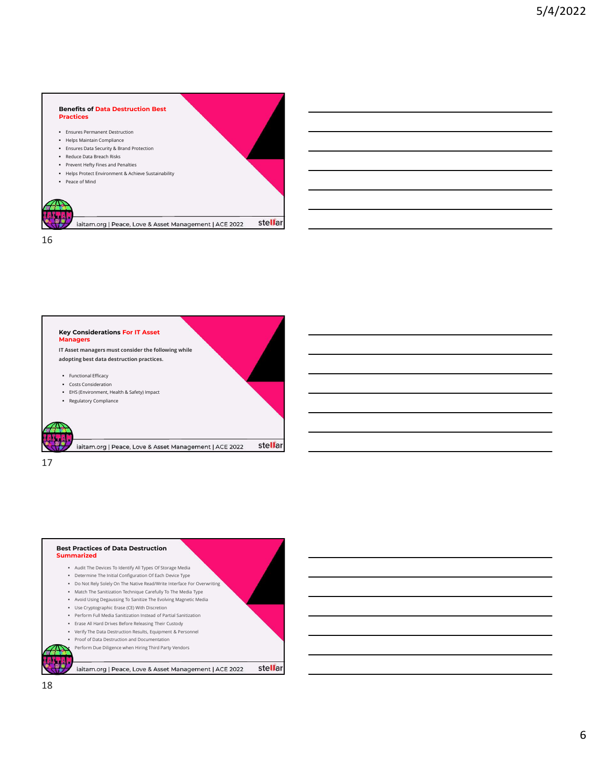#### Benefits of Data Destruction Best Practices

- Ensures Permanent Destruction
- Helps Maintain Compliance
- Ensures Data Security & Brand Protection
- Reduce Data Breach Risks **Prevent Hefty Fines and Penalties**
- 
- Helps Protect Environment & Achieve Sustainability
- Peace of Mind



stellar